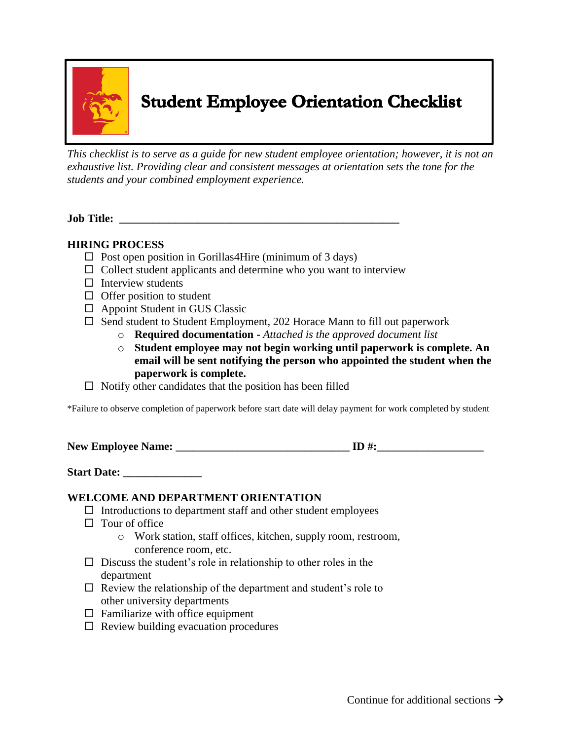

# **Student Employee Orientation Checklist**

*This checklist is to serve as a guide for new student employee orientation; however, it is not an exhaustive list. Providing clear and consistent messages at orientation sets the tone for the students and your combined employment experience.* 

#### **Job Title:**

#### **HIRING PROCESS**

- $\Box$  Post open position in Gorillas4Hire (minimum of 3 days)
- $\Box$  Collect student applicants and determine who you want to interview
- $\Box$  Interview students
- $\Box$  Offer position to student
- $\Box$  Appoint Student in GUS Classic
- $\square$  Send student to Student Employment, 202 Horace Mann to fill out paperwork
	- o **Required documentation -** *Attached is the approved document list*
	- o **Student employee may not begin working until paperwork is complete. An email will be sent notifying the person who appointed the student when the paperwork is complete.**
- $\Box$  Notify other candidates that the position has been filled

\*Failure to observe completion of paperwork before start date will delay payment for work completed by student

| <b>New Employee Name:</b> |  |  |
|---------------------------|--|--|
|                           |  |  |

**Start Date: \_\_\_\_\_\_\_\_\_\_\_\_\_\_**

#### **WELCOME AND DEPARTMENT ORIENTATION**

- $\Box$  Introductions to department staff and other student employees
- $\Box$  Tour of office
	- o Work station, staff offices, kitchen, supply room, restroom, conference room, etc.
- $\square$  Discuss the student's role in relationship to other roles in the department
- $\Box$  Review the relationship of the department and student's role to other university departments
- $\Box$  Familiarize with office equipment
- $\Box$  Review building evacuation procedures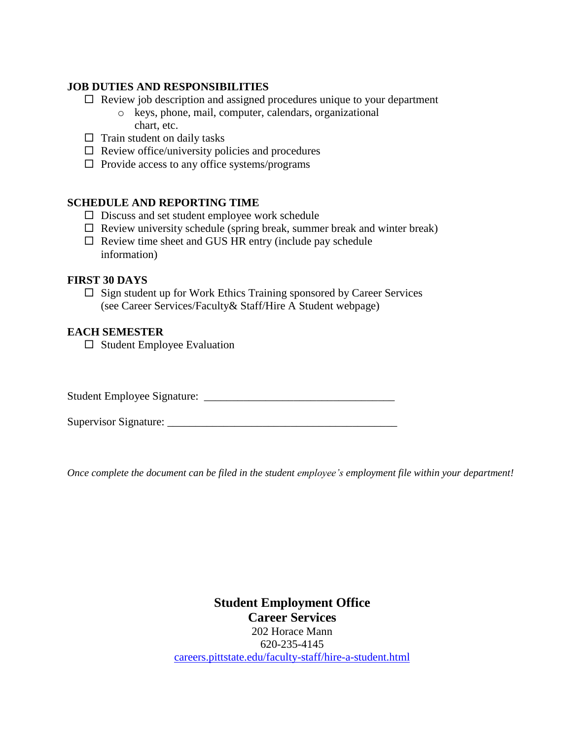# **JOB DUTIES AND RESPONSIBILITIES**

- $\Box$  Review job description and assigned procedures unique to your department
	- o keys, phone, mail, computer, calendars, organizational chart, etc.
- $\Box$  Train student on daily tasks
- $\Box$  Review office/university policies and procedures
- $\square$  Provide access to any office systems/programs

# **SCHEDULE AND REPORTING TIME**

- $\square$  Discuss and set student employee work schedule
- $\Box$  Review university schedule (spring break, summer break and winter break)
- $\Box$  Review time sheet and GUS HR entry (include pay schedule information)

#### **FIRST 30 DAYS**

 $\Box$  Sign student up for Work Ethics Training sponsored by Career Services (see Career Services/Faculty& Staff/Hire A Student webpage)

# **EACH SEMESTER**

 $\square$  Student Employee Evaluation

Student Employee Signature: \_\_\_\_\_\_\_\_\_\_\_\_\_\_\_\_\_\_\_\_\_\_\_\_\_\_\_\_\_\_\_\_\_\_

Supervisor Signature: \_\_\_\_\_\_\_\_\_\_\_\_\_\_\_\_\_\_\_\_\_\_\_\_\_\_\_\_\_\_\_\_\_\_\_\_\_\_\_\_\_

*Once complete the document can be filed in the student employee's employment file within your department!*

**Student Employment Office Career Services** 202 Horace Mann 620-235-4145 [careers.pittstate.edu/faculty-staff/hire-a-student.html](https://careers.pittstate.edu/faculty-staff/hire-a-student.html)